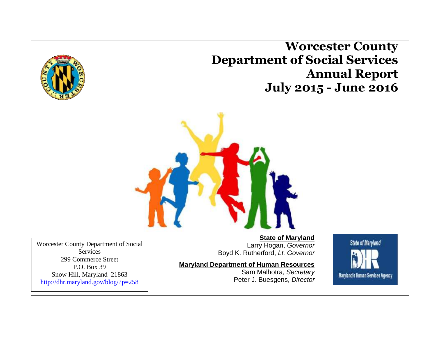**Worcester County Department of Social Services Annual Report July 2015 - June 2016**





Worcester County Department of Social **Services** 299 Commerce Street P.O. Box 39 Snow Hill, Maryland 21863 <http://dhr.maryland.gov/blog/?p=258>

**State of Maryland** Larry Hogan, *Governor* Boyd K. Rutherford, *Lt. Governor*

#### **Maryland Department of Human Resources**

Sam Malhotra, *Secretary* Peter J. Buesgens, *Director*

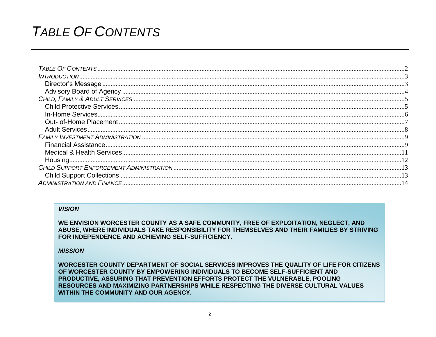## <span id="page-1-0"></span>**TABLE OF CONTENTS**

#### **VISION**

WE ENVISION WORCESTER COUNTY AS A SAFE COMMUNITY, FREE OF EXPLOITATION, NEGLECT, AND ABUSE, WHERE INDIVIDUALS TAKE RESPONSIBILITY FOR THEMSELVES AND THEIR FAMILIES BY STRIVING FOR INDEPENDENCE AND ACHIEVING SELF-SUFFICIENCY.

#### **MISSION**

WORCESTER COUNTY DEPARTMENT OF SOCIAL SERVICES IMPROVES THE QUALITY OF LIFE FOR CITIZENS OF WORCESTER COUNTY BY EMPOWERING INDIVIDUALS TO BECOME SELF-SUFFICIENT AND PRODUCTIVE, ASSURING THAT PREVENTION EFFORTS PROTECT THE VULNERABLE, POOLING RESOURCES AND MAXIMIZING PARTNERSHIPS WHILE RESPECTING THE DIVERSE CULTURAL VALUES WITHIN THE COMMUNITY AND OUR AGENCY.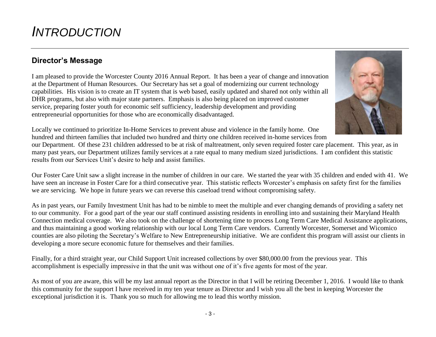## <span id="page-2-0"></span>*INTRODUCTION*

## <span id="page-2-1"></span>**Director's Message**

I am pleased to provide the Worcester County 2016 Annual Report. It has been a year of change and innovation at the Department of Human Resources. Our Secretary has set a goal of modernizing our current technology capabilities. His vision is to create an IT system that is web based, easily updated and shared not only within all DHR programs, but also with major state partners. Emphasis is also being placed on improved customer service, preparing foster youth for economic self sufficiency, leadership development and providing entrepreneurial opportunities for those who are economically disadvantaged.



Locally we continued to prioritize In-Home Services to prevent abuse and violence in the family home. One hundred and thirteen families that included two hundred and thirty one children received in-home services from

our Department. Of these 231 children addressed to be at risk of maltreatment, only seven required foster care placement. This year, as in many past years, our Department utilizes family services at a rate equal to many medium sized jurisdictions. I am confident this statistic results from our Services Unit's desire to help and assist families.

Our Foster Care Unit saw a slight increase in the number of children in our care. We started the year with 35 children and ended with 41. We have seen an increase in Foster Care for a third consecutive year. This statistic reflects Worcester's emphasis on safety first for the families we are servicing. We hope in future years we can reverse this caseload trend without compromising safety.

As in past years, our Family Investment Unit has had to be nimble to meet the multiple and ever changing demands of providing a safety net to our community. For a good part of the year our staff continued assisting residents in enrolling into and sustaining their Maryland Health Connection medical coverage. We also took on the challenge of shortening time to process Long Term Care Medical Assistance applications, and thus maintaining a good working relationship with our local Long Term Care vendors. Currently Worcester, Somerset and Wicomico counties are also piloting the Secretary's Welfare to New Entrepreneurship initiative. We are confident this program will assist our clients in developing a more secure economic future for themselves and their families.

Finally, for a third straight year, our Child Support Unit increased collections by over \$80,000.00 from the previous year. This accomplishment is especially impressive in that the unit was without one of it's five agents for most of the year.

As most of you are aware, this will be my last annual report as the Director in that I will be retiring December 1, 2016. I would like to thank this community for the support I have received in my ten year tenure as Director and I wish you all the best in keeping Worcester the exceptional jurisdiction it is. Thank you so much for allowing me to lead this worthy mission.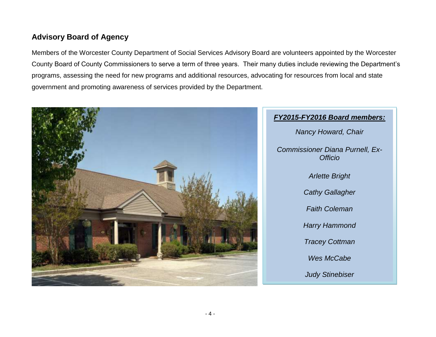## <span id="page-3-0"></span>**Advisory Board of Agency**

Members of the Worcester County Department of Social Services Advisory Board are volunteers appointed by the Worcester County Board of County Commissioners to serve a term of three years. Their many duties include reviewing the Department's programs, assessing the need for new programs and additional resources, advocating for resources from local and state government and promoting awareness of services provided by the Department.



## *FY2015-FY2016 Board members: Nancy Howard, Chair Commissioner Diana Purnell, Ex-Officio Arlette Bright Cathy Gallagher Faith Coleman Harry Hammond Tracey Cottman Wes McCabe Judy Stinebiser*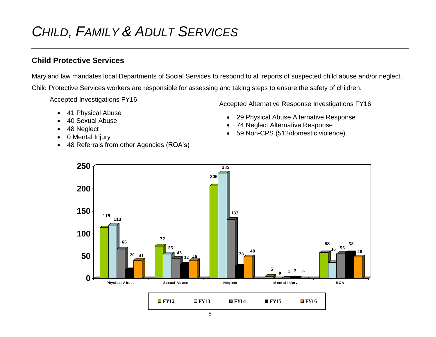# <span id="page-4-0"></span>*CHILD, FAMILY & ADULT SERVICES*

## <span id="page-4-1"></span>**Child Protective Services**

Maryland law mandates local Departments of Social Services to respond to all reports of suspected child abuse and/or neglect. Child Protective Services workers are responsible for assessing and taking steps to ensure the safety of children.

Accepted Investigations FY16

- 41 Physical Abuse
- 40 Sexual Abuse
- 48 Neglect
- 0 Mental Injury
- 48 Referrals from other Agencies (ROA's)

Accepted Alternative Response Investigations FY16

- 29 Physical Abuse Alternative Response
- 74 Neglect Alternative Response
- 59 Non-CPS (512/domestic violence)

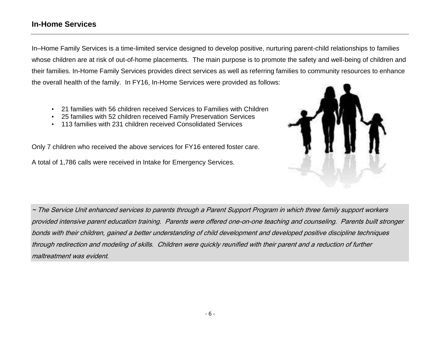### <span id="page-5-0"></span>**In-Home Services**

In–Home Family Services is a time-limited service designed to develop positive, nurturing parent-child relationships to families whose children are at risk of out-of-home placements. The main purpose is to promote the safety and well-being of children and their families. In-Home Family Services provides direct services as well as referring families to community resources to enhance the overall health of the family. In FY16, In-Home Services were provided as follows:

- 21 families with 56 children received Services to Families with Children
- 25 families with 52 children received Family Preservation Services
- 113 families with 231 children received Consolidated Services

Only 7 children who received the above services for FY16 entered foster care.

A total of 1,786 calls were received in Intake for Emergency Services.



~ The Service Unit enhanced services to parents through a Parent Support Program in which three family support workers provided intensive parent education training. Parents were offered one-on-one teaching and counseling. Parents built stronger bonds with their children, gained a better understanding of child development and developed positive discipline techniques through redirection and modeling of skills. Children were quickly reunified with their parent and a reduction of further maltreatment was evident.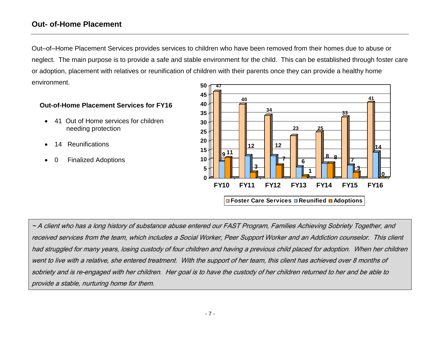### <span id="page-6-0"></span>**Out- of-Home Placement**

Out–of–Home Placement Services provides services to children who have been removed from their homes due to abuse or neglect. The main purpose is to provide a safe and stable environment for the child. This can be established through foster care or adoption, placement with relatives or reunification of children with their parents once they can provide a healthy home environment. M<br>47<br>**7** 

#### **Out-of-Home Placement Services for FY16**

- 41 Out of Home services for children needing protection
- 14 Reunifications
- 0 Finalized Adoptions



~ A client who has a long history of substance abuse entered our FAST Program, Families Achieving Sobriety Together, and received services from the team, which includes a Social Worker, Peer Support Worker and an Addiction counselor. This client had struggled for many years, losing custody of four children and having a previous child placed for adoption. When her children went to live with a relative, she entered treatment. With the support of her team, this client has achieved over 8 months of sobriety and is re-engaged with her children. Her goal is to have the custody of her children returned to her and be able to provide a stable, nurturing home for them.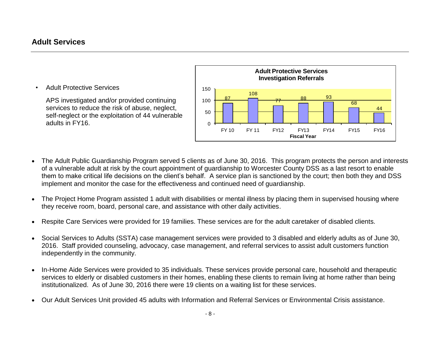### <span id="page-7-0"></span>**Adult Services**

• Adult Protective Services

APS investigated and/or provided continuing services to reduce the risk of abuse, neglect, self-neglect or the exploitation of 44 vulnerable adults in FY16.



- The Adult Public Guardianship Program served 5 clients as of June 30, 2016. This program protects the person and interests of a vulnerable adult at risk by the court appointment of guardianship to Worcester County DSS as a last resort to enable them to make critical life decisions on the client's behalf. A service plan is sanctioned by the court; then both they and DSS implement and monitor the case for the effectiveness and continued need of guardianship.
- The Project Home Program assisted 1 adult with disabilities or mental illness by placing them in supervised housing where they receive room, board, personal care, and assistance with other daily activities.
- Respite Care Services were provided for 19 families. These services are for the adult caretaker of disabled clients.
- Social Services to Adults (SSTA) case management services were provided to 3 disabled and elderly adults as of June 30, 2016. Staff provided counseling, advocacy, case management, and referral services to assist adult customers function independently in the community.
- In-Home Aide Services were provided to 35 individuals. These services provide personal care, household and therapeutic services to elderly or disabled customers in their homes, enabling these clients to remain living at home rather than being institutionalized. As of June 30, 2016 there were 19 clients on a waiting list for these services.
- Our Adult Services Unit provided 45 adults with Information and Referral Services or Environmental Crisis assistance.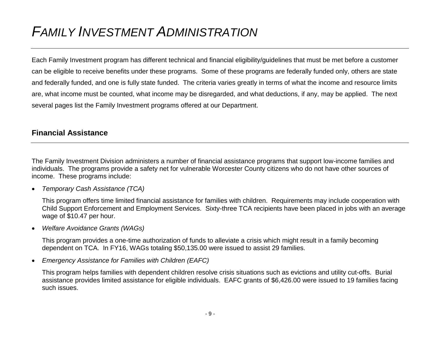## <span id="page-8-0"></span>*FAMILY INVESTMENT ADMINISTRATION*

Each Family Investment program has different technical and financial eligibility/guidelines that must be met before a customer can be eligible to receive benefits under these programs. Some of these programs are federally funded only, others are state and federally funded, and one is fully state funded. The criteria varies greatly in terms of what the income and resource limits are, what income must be counted, what income may be disregarded, and what deductions, if any, may be applied. The next several pages list the Family Investment programs offered at our Department.

### <span id="page-8-1"></span>**Financial Assistance**

The Family Investment Division administers a number of financial assistance programs that support low-income families and individuals. The programs provide a safety net for vulnerable Worcester County citizens who do not have other sources of income. These programs include:

*Temporary Cash Assistance (TCA)*

This program offers time limited financial assistance for families with children. Requirements may include cooperation with Child Support Enforcement and Employment Services. Sixty-three TCA recipients have been placed in jobs with an average wage of \$10.47 per hour.

*Welfare Avoidance Grants (WAGs)* 

This program provides a one-time authorization of funds to alleviate a crisis which might result in a family becoming dependent on TCA. In FY16, WAGs totaling \$50,135.00 were issued to assist 29 families.

*Emergency Assistance for Families with Children (EAFC)* 

This program helps families with dependent children resolve crisis situations such as evictions and utility cut-offs. Burial assistance provides limited assistance for eligible individuals. EAFC grants of \$6,426.00 were issued to 19 families facing such issues.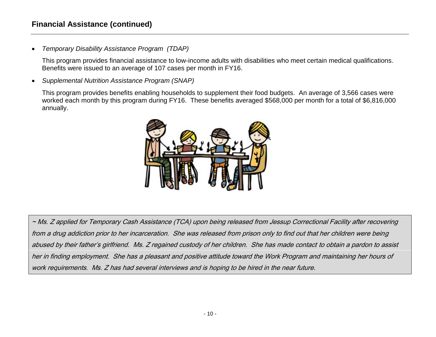### **Financial Assistance (continued)**

*Temporary Disability Assistance Program (TDAP)* 

This program provides financial assistance to low-income adults with disabilities who meet certain medical qualifications. Benefits were issued to an average of 107 cases per month in FY16.

*Supplemental Nutrition Assistance Program (SNAP)*

This program provides benefits enabling households to supplement their food budgets. An average of 3,566 cases were worked each month by this program during FY16. These benefits averaged \$568,000 per month for a total of \$6,816,000 annually.



~ Ms. Z applied for Temporary Cash Assistance (TCA) upon being released from Jessup Correctional Facility after recovering from a drug addiction prior to her incarceration. She was released from prison only to find out that her children were being abused by their father's girlfriend. Ms. Z regained custody of her children. She has made contact to obtain a pardon to assist her in finding employment. She has a pleasant and positive attitude toward the Work Program and maintaining her hours of work requirements. Ms. Z has had several interviews and is hoping to be hired in the near future.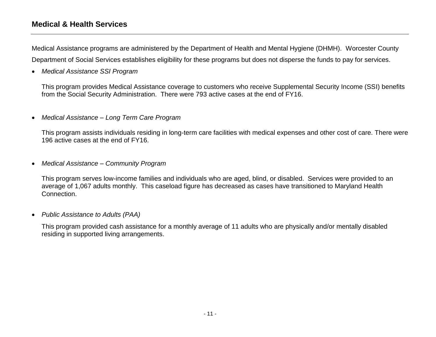### <span id="page-10-0"></span>**Medical & Health Services**

Medical Assistance programs are administered by the Department of Health and Mental Hygiene (DHMH). Worcester County Department of Social Services establishes eligibility for these programs but does not disperse the funds to pay for services.

*Medical Assistance SSI Program* 

This program provides Medical Assistance coverage to customers who receive Supplemental Security Income (SSI) benefits from the Social Security Administration. There were 793 active cases at the end of FY16.

*Medical Assistance – Long Term Care Program* 

This program assists individuals residing in long-term care facilities with medical expenses and other cost of care. There were 196 active cases at the end of FY16.

*Medical Assistance – Community Program* 

This program serves low-income families and individuals who are aged, blind, or disabled. Services were provided to an average of 1,067 adults monthly. This caseload figure has decreased as cases have transitioned to Maryland Health Connection.

*Public Assistance to Adults (PAA)* 

This program provided cash assistance for a monthly average of 11 adults who are physically and/or mentally disabled residing in supported living arrangements.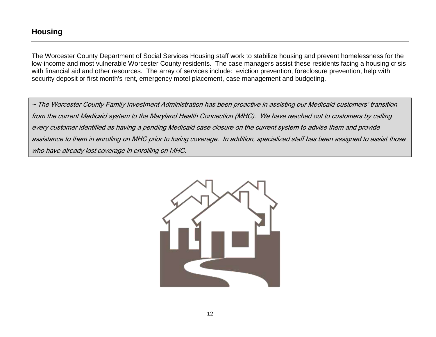<span id="page-11-0"></span>The Worcester County Department of Social Services Housing staff work to stabilize housing and prevent homelessness for the low-income and most vulnerable Worcester County residents. The case managers assist these residents facing a housing crisis with financial aid and other resources. The array of services include: eviction prevention, foreclosure prevention, help with security deposit or first month's rent, emergency motel placement, case management and budgeting.

~ The Worcester County Family Investment Administration has been proactive in assisting our Medicaid customers' transition from the current Medicaid system to the Maryland Health Connection (MHC). We have reached out to customers by calling every customer identified as having a pending Medicaid case closure on the current system to advise them and provide assistance to them in enrolling on MHC prior to losing coverage. In addition, specialized staff has been assigned to assist those who have already lost coverage in enrolling on MHC.

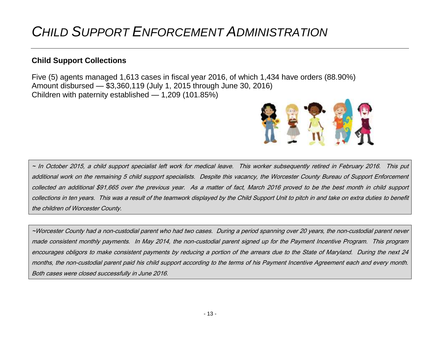## <span id="page-12-0"></span>*CHILD SUPPORT ENFORCEMENT ADMINISTRATION*

### <span id="page-12-1"></span>**Child Support Collections**

Five (5) agents managed 1,613 cases in fiscal year 2016, of which 1,434 have orders (88.90%) Amount disbursed — \$3,360,119 (July 1, 2015 through June 30, 2016) Children with paternity established — 1,209 (101.85%)



~ In October 2015, a child support specialist left work for medical leave. This worker subsequently retired in February 2016. This put additional work on the remaining 5 child support specialists. Despite this vacancy, the Worcester County Bureau of Support Enforcement collected an additional \$91,665 over the previous year. As a matter of fact, March 2016 proved to be the best month in child support collections in ten years. This was a result of the teamwork displayed by the Child Support Unit to pitch in and take on extra duties to benefit the children of Worcester County.

~Worcester County had a non-custodial parent who had two cases. During a period spanning over 20 years, the non-custodial parent never made consistent monthly payments. In May 2014, the non-custodial parent signed up for the Payment Incentive Program. This program encourages obligors to make consistent payments by reducing a portion of the arrears due to the State of Maryland. During the next 24 months, the non-custodial parent paid his child support according to the terms of his Payment Incentive Agreement each and every month. Both cases were closed successfully in June 2016.